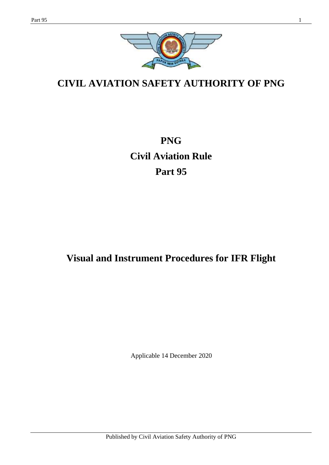

# **CIVIL AVIATION SAFETY AUTHORITY OF PNG**

**PNG Civil Aviation Rule Part 95**

# **Visual and Instrument Procedures for IFR Flight**

Applicable 14 December 2020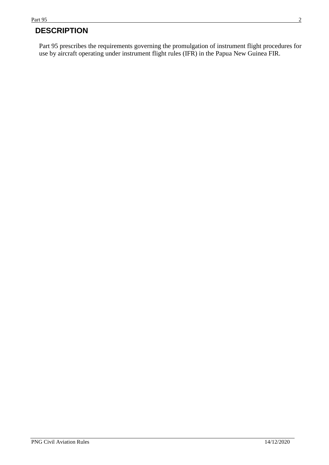## **DESCRIPTION**

Part 95 prescribes the requirements governing the promulgation of instrument flight procedures for use by aircraft operating under instrument flight rules (IFR) in the Papua New Guinea FIR.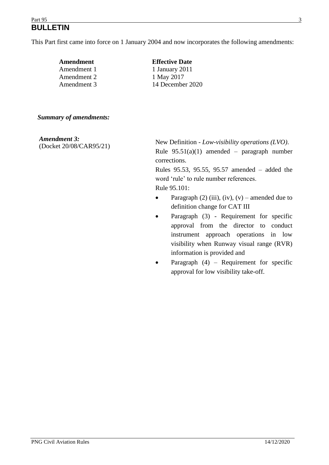#### $Part\,95$  3 **BULLETIN**

This Part first came into force on 1 January 2004 and now incorporates the following amendments:

| Amendment   | <b>Effective Date</b> |
|-------------|-----------------------|
| Amendment 1 | 1 January 2011        |
| Amendment 2 | 1 May 2017            |
| Amendment 3 | 14 December 2020      |
|             |                       |

#### *Summary of amendments:*

*Amendment 3:*  (Docket 20/08/CAR95/21)

New Definition - *Low-visibility operations (LVO)*. Rule  $95.51(a)(1)$  amended – paragraph number corrections.

Rules 95.53, 95.55, 95.57 amended – added the word 'rule' to rule number references. Rule 95.101:

- Paragraph (2) (iii), (iv), (v) amended due to definition change for CAT III
- Paragraph (3) Requirement for specific approval from the director to conduct instrument approach operations in low visibility when Runway visual range (RVR) information is provided and
- Paragraph  $(4)$  Requirement for specific approval for low visibility take-off.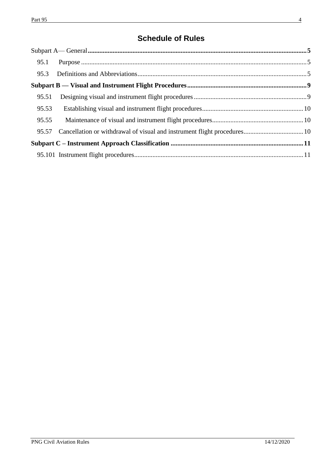## **Schedule of Rules**

| 95.1  |  |  |
|-------|--|--|
| 95.3  |  |  |
|       |  |  |
| 95.51 |  |  |
| 95.53 |  |  |
| 95.55 |  |  |
| 95.57 |  |  |
|       |  |  |
|       |  |  |
|       |  |  |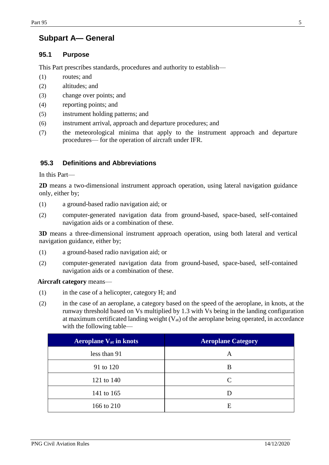## <span id="page-4-0"></span>**Subpart A— General**

### <span id="page-4-1"></span>**95.1 Purpose**

This Part prescribes standards, procedures and authority to establish—

- (1) routes; and
- (2) altitudes; and
- (3) change over points; and
- (4) reporting points; and
- (5) instrument holding patterns; and
- (6) instrument arrival, approach and departure procedures; and
- (7) the meteorological minima that apply to the instrument approach and departure procedures— for the operation of aircraft under IFR.

### <span id="page-4-2"></span>**95.3 Definitions and Abbreviations**

In this Part—

**2D** means a two-dimensional instrument approach operation, using lateral navigation guidance only, either by;

- (1) a ground-based radio navigation aid; or
- (2) computer-generated navigation data from ground-based, space-based, self-contained navigation aids or a combination of these.

**3D** means a three-dimensional instrument approach operation, using both lateral and vertical navigation guidance, either by;

- (1) a ground-based radio navigation aid; or
- (2) computer-generated navigation data from ground-based, space-based, self-contained navigation aids or a combination of these.

**Aircraft category** means—

- (1) in the case of a helicopter, category H; and
- (2) in the case of an aeroplane, a category based on the speed of the aeroplane, in knots, at the runway threshold based on Vs multiplied by 1.3 with Vs being in the landing configuration at maximum certificated landing weight  $(V_{at})$  of the aeroplane being operated, in accordance with the following table—

| <b>Aeroplane V<sub>at</sub></b> in knots | <b>Aeroplane Category</b> |
|------------------------------------------|---------------------------|
| less than 91                             | A                         |
| 91 to 120                                | B                         |
| 121 to 140                               | C                         |
| 141 to 165                               |                           |
| 166 to 210                               | E                         |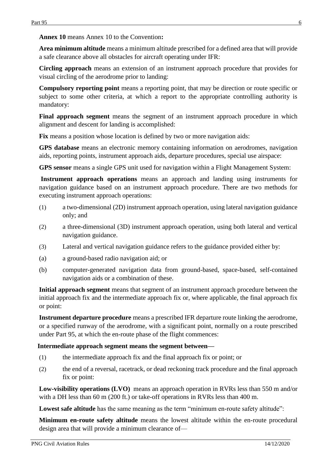**Annex 10** means Annex 10 to the Convention**:**

**Area minimum altitude** means a minimum altitude prescribed for a defined area that will provide a safe clearance above all obstacles for aircraft operating under IFR:

**Circling approach** means an extension of an instrument approach procedure that provides for visual circling of the aerodrome prior to landing:

**Compulsory reporting point** means a reporting point, that may be direction or route specific or subject to some other criteria, at which a report to the appropriate controlling authority is mandatory:

Final approach segment means the segment of an instrument approach procedure in which alignment and descent for landing is accomplished:

Fix means a position whose location is defined by two or more navigation aids:

**GPS database** means an electronic memory containing information on aerodromes, navigation aids, reporting points, instrument approach aids, departure procedures, special use airspace:

**GPS sensor** means a single GPS unit used for navigation within a Flight Management System:

**Instrument approach operations** means an approach and landing using instruments for navigation guidance based on an instrument approach procedure. There are two methods for executing instrument approach operations:

- (1) a two-dimensional (2D) instrument approach operation, using lateral navigation guidance only; and
- (2) a three-dimensional (3D) instrument approach operation, using both lateral and vertical navigation guidance.
- (3) Lateral and vertical navigation guidance refers to the guidance provided either by:
- (a) a ground-based radio navigation aid; or
- (b) computer-generated navigation data from ground-based, space-based, self-contained navigation aids or a combination of these.

**Initial approach segment** means that segment of an instrument approach procedure between the initial approach fix and the intermediate approach fix or, where applicable, the final approach fix or point:

**Instrument departure procedure** means a prescribed IFR departure route linking the aerodrome, or a specified runway of the aerodrome, with a significant point, normally on a route prescribed under Part 95, at which the en-route phase of the flight commences:

#### **Intermediate approach segment means the segment between—**

- (1) the intermediate approach fix and the final approach fix or point; or
- (2) the end of a reversal, racetrack, or dead reckoning track procedure and the final approach fix or point:

**Low-visibility operations (LVO)** means an approach operation in RVRs less than 550 m and/or with a DH less than 60 m (200 ft.) or take-off operations in RVRs less than 400 m.

Lowest safe altitude has the same meaning as the term "minimum en-route safety altitude":

**Minimum en-route safety altitude** means the lowest altitude within the en-route procedural design area that will provide a minimum clearance of—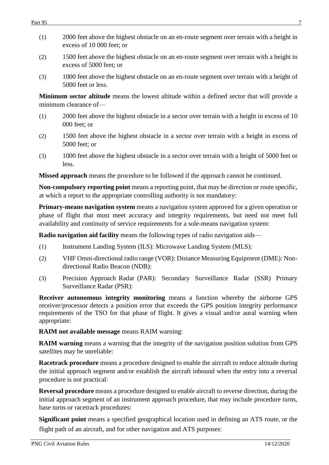- (1) 2000 feet above the highest obstacle on an en-route segment over terrain with a height in excess of 10 000 feet; or
- (2) 1500 feet above the highest obstacle on an en-route segment over terrain with a height in excess of 5000 feet; or
- (3) 1000 feet above the highest obstacle on an en-route segment over terrain with a height of 5000 feet or less.

**Minimum sector altitude** means the lowest altitude within a defined sector that will provide a minimum clearance of—

- (1) 2000 feet above the highest obstacle in a sector over terrain with a height in excess of 10 000 feet; or
- (2) 1500 feet above the highest obstacle in a sector over terrain with a height in excess of 5000 feet; or
- (3) 1000 feet above the highest obstacle in a sector over terrain with a height of 5000 feet or less.

**Missed approach** means the procedure to be followed if the approach cannot be continued.

**Non-compulsory reporting point** means a reporting point, that may be direction or route specific, at which a report to the appropriate controlling authority is not mandatory:

**Primary-means navigation system** means a navigation system approved for a given operation or phase of flight that must meet accuracy and integrity requirements, but need not meet full availability and continuity of service requirements for a sole-means navigation system:

**Radio navigation aid facility** means the following types of radio navigation aids—

- (1) Instrument Landing System (ILS): Microwave Landing System (MLS):
- (2) VHF Omni-directional radio range (VOR): Distance Measuring Equipment (DME): Nondirectional Radio Beacon (NDB):
- (3) Precision Approach Radar (PAR): Secondary Surveillance Radar (SSR) Primary Surveillance Radar (PSR):

**Receiver autonomous integrity monitoring** means a function whereby the airborne GPS receiver/processor detects a position error that exceeds the GPS position integrity performance requirements of the TSO for that phase of flight. It gives a visual and/or aural warning when appropriate:

**RAIM not available message** means RAIM warning:

**RAIM warning** means a warning that the integrity of the navigation position solution from GPS satellites may be unreliable:

**Racetrack procedure** means a procedure designed to enable the aircraft to reduce altitude during the initial approach segment and/or establish the aircraft inbound when the entry into a reversal procedure is not practical:

**Reversal procedure** means a procedure designed to enable aircraft to reverse direction, during the initial approach segment of an instrument approach procedure, that may include procedure turns, base turns or racetrack procedures:

**Significant point** means a specified geographical location used in defining an ATS route, or the flight path of an aircraft, and for other navigation and ATS purposes: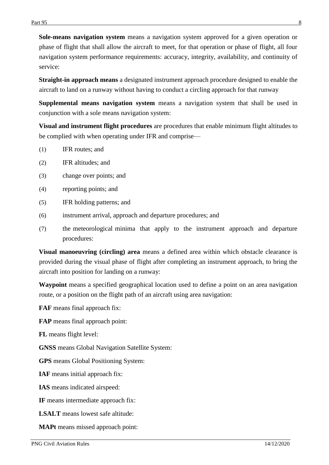**Sole-means navigation system** means a navigation system approved for a given operation or phase of flight that shall allow the aircraft to meet, for that operation or phase of flight, all four navigation system performance requirements: accuracy, integrity, availability, and continuity of service:

**Straight-in approach means** a designated instrument approach procedure designed to enable the aircraft to land on a runway without having to conduct a circling approach for that runway

**Supplemental means navigation system** means a navigation system that shall be used in conjunction with a sole means navigation system:

**Visual and instrument flight procedures** are procedures that enable minimum flight altitudes to be complied with when operating under IFR and comprise—

- (1) IFR routes; and
- (2) IFR altitudes; and
- (3) change over points; and
- (4) reporting points; and
- (5) IFR holding patterns; and
- (6) instrument arrival, approach and departure procedures; and
- (7) the meteorological minima that apply to the instrument approach and departure procedures:

**Visual manoeuvring (circling) area** means a defined area within which obstacle clearance is provided during the visual phase of flight after completing an instrument approach, to bring the aircraft into position for landing on a runway:

**Waypoint** means a specified geographical location used to define a point on an area navigation route, or a position on the flight path of an aircraft using area navigation:

**FAF** means final approach fix:

**FAP** means final approach point:

**FL** means flight level:

**GNSS** means Global Navigation Satellite System:

**GPS** means Global Positioning System:

**IAF** means initial approach fix:

**IAS** means indicated airspeed:

**IF** means intermediate approach fix:

**LSALT** means lowest safe altitude:

**MAPt** means missed approach point: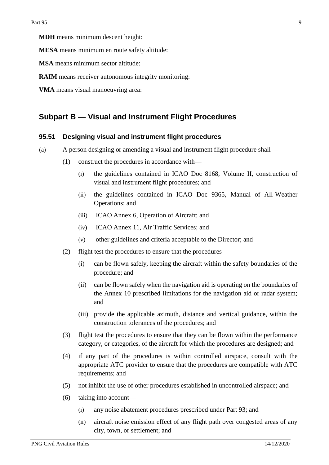**MDH** means minimum descent height:

**MESA** means minimum en route safety altitude:

**MSA** means minimum sector altitude:

- **RAIM** means receiver autonomous integrity monitoring:
- **VMA** means visual manoeuvring area:

### <span id="page-8-0"></span>**Subpart B — Visual and Instrument Flight Procedures**

#### <span id="page-8-1"></span>**95.51 Designing visual and instrument flight procedures**

- (a) A person designing or amending a visual and instrument flight procedure shall—
	- (1) construct the procedures in accordance with—
		- (i) the guidelines contained in ICAO Doc 8168, Volume II, construction of visual and instrument flight procedures; and
		- (ii) the guidelines contained in ICAO Doc 9365, Manual of All-Weather Operations; and
		- (iii) ICAO Annex 6, Operation of Aircraft; and
		- (iv) ICAO Annex 11, Air Traffic Services; and
		- (v) other guidelines and criteria acceptable to the Director; and
	- (2) flight test the procedures to ensure that the procedures—
		- (i) can be flown safely, keeping the aircraft within the safety boundaries of the procedure; and
		- (ii) can be flown safely when the navigation aid is operating on the boundaries of the Annex 10 prescribed limitations for the navigation aid or radar system; and
		- (iii) provide the applicable azimuth, distance and vertical guidance, within the construction tolerances of the procedures; and
	- (3) flight test the procedures to ensure that they can be flown within the performance category, or categories, of the aircraft for which the procedures are designed; and
	- (4) if any part of the procedures is within controlled airspace, consult with the appropriate ATC provider to ensure that the procedures are compatible with ATC requirements; and
	- (5) not inhibit the use of other procedures established in uncontrolled airspace; and
	- (6) taking into account—
		- (i) any noise abatement procedures prescribed under Part 93; and
		- (ii) aircraft noise emission effect of any flight path over congested areas of any city, town, or settlement; and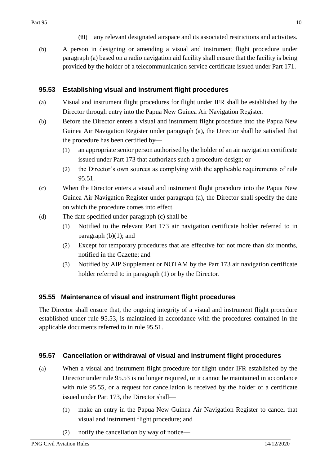- (iii) any relevant designated airspace and its associated restrictions and activities.
- (b) A person in designing or amending a visual and instrument flight procedure under paragraph (a) based on a radio navigation aid facility shall ensure that the facility is being provided by the holder of a telecommunication service certificate issued under Part 171.

### <span id="page-9-0"></span>**95.53 Establishing visual and instrument flight procedures**

- (a) Visual and instrument flight procedures for flight under IFR shall be established by the Director through entry into the Papua New Guinea Air Navigation Register.
- (b) Before the Director enters a visual and instrument flight procedure into the Papua New Guinea Air Navigation Register under paragraph (a), the Director shall be satisfied that the procedure has been certified by—
	- (1) an appropriate senior person authorised by the holder of an air navigation certificate issued under Part 173 that authorizes such a procedure design; or
	- (2) the Director's own sources as complying with the applicable requirements of rule 95.51.
- (c) When the Director enters a visual and instrument flight procedure into the Papua New Guinea Air Navigation Register under paragraph (a), the Director shall specify the date on which the procedure comes into effect.
- (d) The date specified under paragraph (c) shall be—
	- (1) Notified to the relevant Part 173 air navigation certificate holder referred to in paragraph  $(b)(1)$ ; and
	- (2) Except for temporary procedures that are effective for not more than six months, notified in the Gazette; and
	- (3) Notified by AIP Supplement or NOTAM by the Part 173 air navigation certificate holder referred to in paragraph (1) or by the Director.

## <span id="page-9-1"></span>**95.55 Maintenance of visual and instrument flight procedures**

The Director shall ensure that, the ongoing integrity of a visual and instrument flight procedure established under rule 95.53, is maintained in accordance with the procedures contained in the applicable documents referred to in rule 95.51.

## <span id="page-9-2"></span>**95.57 Cancellation or withdrawal of visual and instrument flight procedures**

- (a) When a visual and instrument flight procedure for flight under IFR established by the Director under rule 95.53 is no longer required, or it cannot be maintained in accordance with rule 95.55, or a request for cancellation is received by the holder of a certificate issued under Part 173, the Director shall—
	- (1) make an entry in the Papua New Guinea Air Navigation Register to cancel that visual and instrument flight procedure; and
	- (2) notify the cancellation by way of notice—